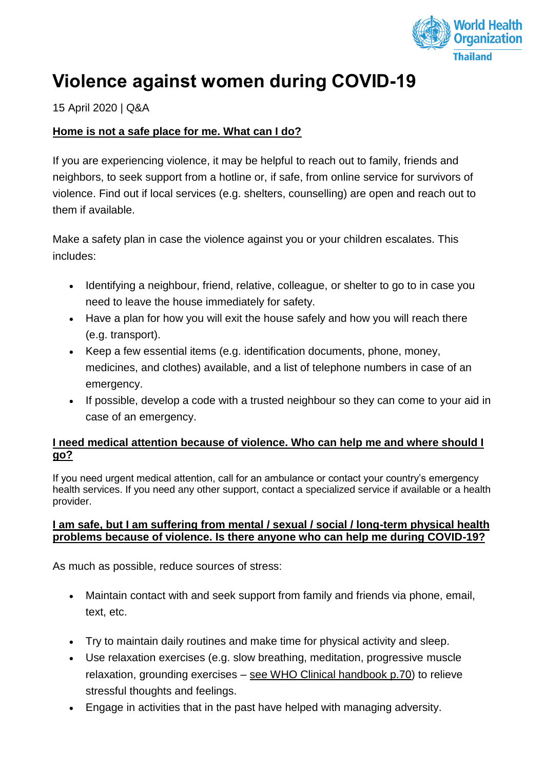

# **Violence against women during COVID-19**

## 15 April 2020 | Q&A

## **[Home is not a safe place for me. What can I do?](https://www.who.int/news-room/q-a-detail/violence-against-women-during-covid-19)**

If you are experiencing violence, it may be helpful to reach out to family, friends and neighbors, to seek support from a hotline or, if safe, from online service for survivors of violence. Find out if local services (e.g. shelters, counselling) are open and reach out to them if available.

Make a safety plan in case the violence against you or your children escalates. This includes:

- Identifying a neighbour, friend, relative, colleague, or shelter to go to in case you need to leave the house immediately for safety.
- Have a plan for how you will exit the house safely and how you will reach there (e.g. transport).
- Keep a few essential items (e.g. identification documents, phone, money, medicines, and clothes) available, and a list of telephone numbers in case of an emergency.
- If possible, develop a code with a trusted neighbour so they can come to your aid in case of an emergency.

#### **[I need medical attention because of violence. Who can help me and where should I](https://www.who.int/news-room/q-a-detail/violence-against-women-during-covid-19)  [go?](https://www.who.int/news-room/q-a-detail/violence-against-women-during-covid-19)**

If you need urgent medical attention, call for an ambulance or contact your country's emergency health services. If you need any other support, contact a specialized service if available or a health provider.

#### **[I am safe, but I am suffering from mental / sexual / social / long-term physical health](https://www.who.int/news-room/q-a-detail/violence-against-women-during-covid-19)  [problems because of violence. Is there anyone who can help me during COVID-19?](https://www.who.int/news-room/q-a-detail/violence-against-women-during-covid-19)**

As much as possible, reduce sources of stress:

- Maintain contact with and seek support from family and friends via phone, email, text, etc.
- Try to maintain daily routines and make time for physical activity and sleep.
- Use relaxation exercises (e.g. slow breathing, meditation, progressive muscle relaxation, grounding exercises – see [WHO Clinical handbook](https://apps.who.int/iris/bitstream/handle/10665/136101/WHO_RHR_14.26_eng.pdf;jsessionid=D1A793C54703C44D28E2E95590DBBF36?sequence=1) p.70) to relieve stressful thoughts and feelings.
- Engage in activities that in the past have helped with managing adversity.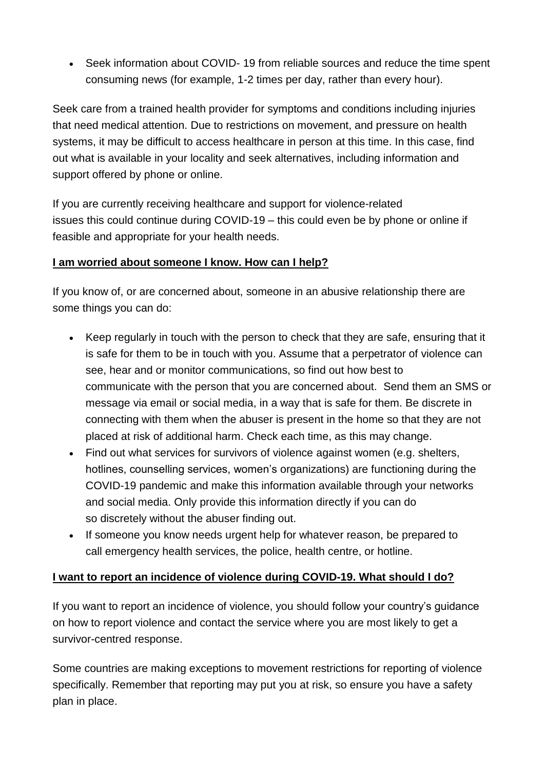• Seek information about COVID-19 from reliable sources and reduce the time spent consuming news (for example, 1-2 times per day, rather than every hour).

Seek care from a trained health provider for symptoms and conditions including injuries that need medical attention. Due to restrictions on movement, and pressure on health systems, it may be difficult to access healthcare in person at this time. In this case, find out what is available in your locality and seek alternatives, including information and support offered by phone or online.

If you are currently receiving healthcare and support for violence-related issues this could continue during COVID-19 – this could even be by phone or online if feasible and appropriate for your health needs.

## **[I am worried about someone I know. How can I help?](https://www.who.int/news-room/q-a-detail/violence-against-women-during-covid-19)**

If you know of, or are concerned about, someone in an abusive relationship there are some things you can do:

- Keep regularly in touch with the person to check that they are safe, ensuring that it is safe for them to be in touch with you. Assume that a perpetrator of violence can see, hear and or monitor communications, so find out how best to communicate with the person that you are concerned about. Send them an SMS or message via email or social media, in a way that is safe for them. Be discrete in connecting with them when the abuser is present in the home so that they are not placed at risk of additional harm. Check each time, as this may change.
- Find out what services for survivors of violence against women (e.g. shelters, hotlines, counselling services, women's organizations) are functioning during the COVID-19 pandemic and make this information available through your networks and social media. Only provide this information directly if you can do so discretely without the abuser finding out.
- If someone you know needs urgent help for whatever reason, be prepared to call emergency health services, the police, health centre, or hotline.

# **[I want to report an incidence of violence](https://www.who.int/news-room/q-a-detail/violence-against-women-during-covid-19) during COVID-19. What should I do?**

If you want to report an incidence of violence, you should follow your country's guidance on how to report violence and contact the service where you are most likely to get a survivor-centred response.

Some countries are making exceptions to movement restrictions for reporting of violence specifically. Remember that reporting may put you at risk, so ensure you have a safety plan in place.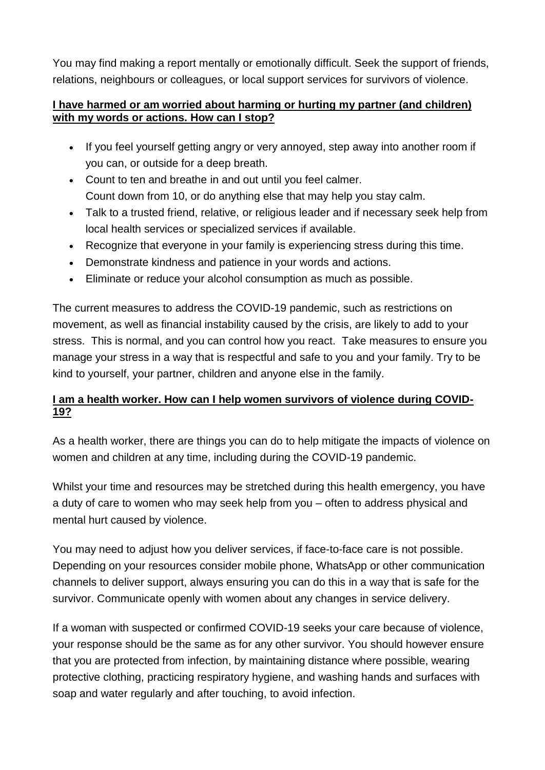You may find making a report mentally or emotionally difficult. Seek the support of friends, relations, neighbours or colleagues, or local support services for survivors of violence.

## **[I have harmed or am worried about harming or hurting my partner \(and children\)](https://www.who.int/news-room/q-a-detail/violence-against-women-during-covid-19)  [with my words or actions. How can I stop?](https://www.who.int/news-room/q-a-detail/violence-against-women-during-covid-19)**

- If you feel yourself getting angry or very annoyed, step away into another room if you can, or outside for a deep breath.
- Count to ten and breathe in and out until you feel calmer. Count down from 10, or do anything else that may help you stay calm.
- Talk to a trusted friend, relative, or religious leader and if necessary seek help from local health services or specialized services if available.
- Recognize that everyone in your family is experiencing stress during this time.
- Demonstrate kindness and patience in your words and actions.
- Eliminate or reduce your alcohol consumption as much as possible.

The current measures to address the COVID-19 pandemic, such as restrictions on movement, as well as financial instability caused by the crisis, are likely to add to your stress. This is normal, and you can control how you react. Take measures to ensure you manage your stress in a way that is respectful and safe to you and your family. Try to be kind to yourself, your partner, children and anyone else in the family.

# **[I am a health worker. How can I help women survivors of violence during COVID-](https://www.who.int/news-room/q-a-detail/violence-against-women-during-covid-19)[19?](https://www.who.int/news-room/q-a-detail/violence-against-women-during-covid-19)**

As a health worker, there are things you can do to help mitigate the impacts of violence on women and children at any time, including during the COVID-19 pandemic.

Whilst your time and resources may be stretched during this health emergency, you have a duty of care to women who may seek help from you – often to address physical and mental hurt caused by violence.

You may need to adjust how you deliver services, if face-to-face care is not possible. Depending on your resources consider mobile phone, WhatsApp or other communication channels to deliver support, always ensuring you can do this in a way that is safe for the survivor. Communicate openly with women about any changes in service delivery.

If a woman with suspected or confirmed COVID-19 seeks your care because of violence, your response should be the same as for any other survivor. You should however ensure that you are protected from infection, by maintaining distance where possible, wearing protective clothing, practicing respiratory hygiene, and washing hands and surfaces with soap and water regularly and after touching, to avoid infection.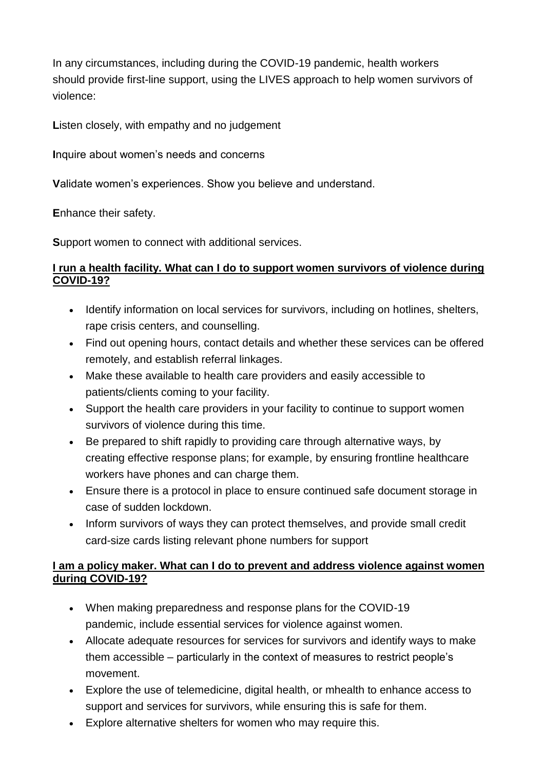In any circumstances, including during the COVID-19 pandemic, health workers should provide first-line support, using the LIVES approach to help women survivors of violence:

**L**isten closely, with empathy and no judgement

**I**nquire about women's needs and concerns

**V**alidate women's experiences. Show you believe and understand.

**E**nhance their safety.

**S**upport women to connect with additional services.

#### **[I run a health facility. What can I do to support women survivors of violence during](https://www.who.int/news-room/q-a-detail/violence-against-women-during-covid-19)  [COVID-19?](https://www.who.int/news-room/q-a-detail/violence-against-women-during-covid-19)**

- Identify information on local services for survivors, including on hotlines, shelters, rape crisis centers, and counselling.
- Find out opening hours, contact details and whether these services can be offered remotely, and establish referral linkages.
- Make these available to health care providers and easily accessible to patients/clients coming to your facility.
- Support the health care providers in your facility to continue to support women survivors of violence during this time.
- Be prepared to shift rapidly to providing care through alternative ways, by creating effective response plans; for example, by ensuring frontline healthcare workers have phones and can charge them.
- Ensure there is a protocol in place to ensure continued safe document storage in case of sudden lockdown.
- Inform survivors of ways they can protect themselves, and provide small credit card-size cards listing relevant phone numbers for support

## **[I am a policy maker. What can I do to prevent and address violence against women](https://www.who.int/news-room/q-a-detail/violence-against-women-during-covid-19)  [during COVID-19?](https://www.who.int/news-room/q-a-detail/violence-against-women-during-covid-19)**

- When making preparedness and response plans for the COVID-19 pandemic, include essential services for violence against women.
- Allocate adequate resources for services for survivors and identify ways to make them accessible – particularly in the context of measures to restrict people's movement.
- Explore the use of telemedicine, digital health, or mhealth to enhance access to support and services for survivors, while ensuring this is safe for them.
- Explore alternative shelters for women who may require this.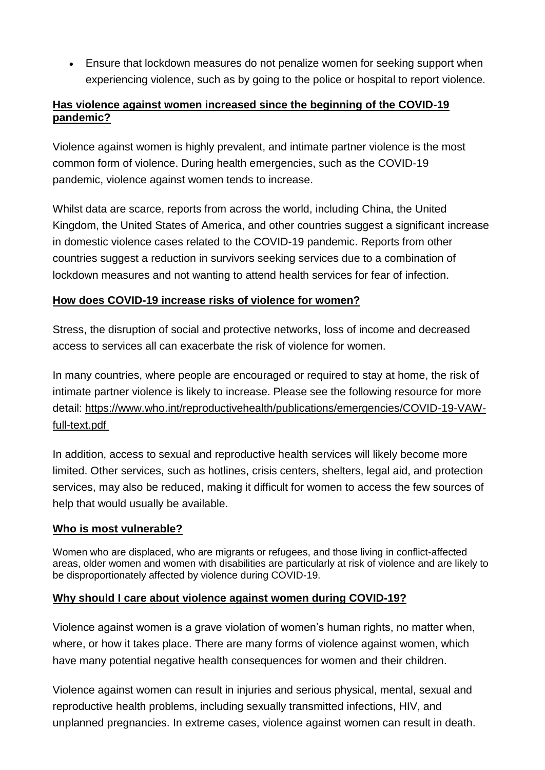• Ensure that lockdown measures do not penalize women for seeking support when experiencing violence, such as by going to the police or hospital to report violence.

## **[Has violence against women increased since the beginning of the COVID-19](https://www.who.int/news-room/q-a-detail/violence-against-women-during-covid-19)  [pandemic?](https://www.who.int/news-room/q-a-detail/violence-against-women-during-covid-19)**

Violence against women is highly prevalent, and intimate partner violence is the most common form of violence. During health emergencies, such as the COVID-19 pandemic, violence against women tends to increase.

Whilst data are scarce, reports from across the world, including China, the United Kingdom, the United States of America, and other countries suggest a significant increase in domestic violence cases related to the COVID-19 pandemic. Reports from other countries suggest a reduction in survivors seeking services due to a combination of lockdown measures and not wanting to attend health services for fear of infection.

# **[How does COVID-19 increase risks of violence for women?](https://www.who.int/news-room/q-a-detail/violence-against-women-during-covid-19)**

Stress, the disruption of social and protective networks, loss of income and decreased access to services all can exacerbate the risk of violence for women.

In many countries, where people are encouraged or required to stay at home, the risk of intimate partner violence is likely to increase. Please see the following resource for more detail: [https://www.who.int/reproductivehealth/publications/emergencies/COVID-19-VAW](https://www.who.int/reproductivehealth/publications/emergencies/COVID-19-VAW-full-text.pdf)[full-text.pdf](https://www.who.int/reproductivehealth/publications/emergencies/COVID-19-VAW-full-text.pdf)

In addition, access to sexual and reproductive health services will likely become more limited. Other services, such as hotlines, crisis centers, shelters, legal aid, and protection services, may also be reduced, making it difficult for women to access the few sources of help that would usually be available.

#### **[Who is most vulnerable?](https://www.who.int/news-room/q-a-detail/violence-against-women-during-covid-19)**

Women who are displaced, who are migrants or refugees, and those living in conflict-affected areas, older women and women with disabilities are particularly at risk of violence and are likely to be disproportionately affected by violence during COVID-19.

# **[Why should I care about violence against](https://www.who.int/news-room/q-a-detail/violence-against-women-during-covid-19) women during COVID-19?**

Violence against women is a grave violation of women's human rights, no matter when, where, or how it takes place. There are many forms of violence against women, which have many potential negative health consequences for women and their children.

Violence against women can result in injuries and serious physical, mental, sexual and reproductive health problems, including sexually transmitted infections, HIV, and unplanned pregnancies. In extreme cases, violence against women can result in death.